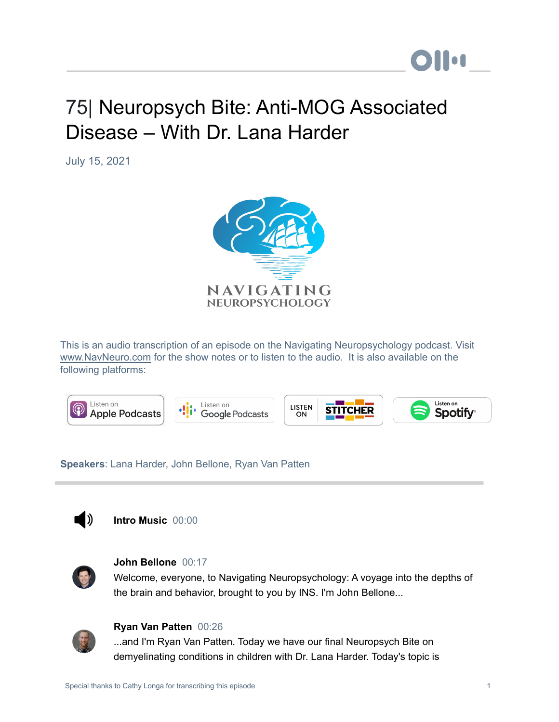# 75| Neuropsych Bite: Anti-MOG Associated Disease – With Dr. Lana Harder

July 15, 2021



This is an audio transcription of an episode on the Navigating Neuropsychology podcast. Visit [www.NavNeuro.com](http://www.navneuro.com/) for the show notes or to listen to the audio. It is also available on the following platforms:



**Speakers**: Lana Harder, John Bellone, Ryan Van Patten



**Intro Music** 00:00



# **John Bellone** 00:17

Welcome, everyone, to Navigating Neuropsychology: A voyage into the depths of the brain and behavior, brought to you by INS. I'm John Bellone...



# **Ryan Van Patten** 00:26

...and I'm Ryan Van Patten. Today we have our final Neuropsych Bite on demyelinating conditions in children with Dr. Lana Harder. Today's topic is

**DII:**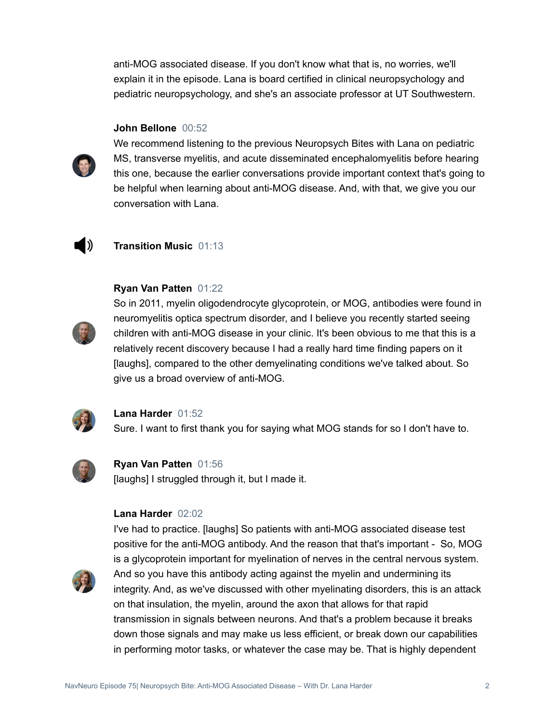anti-MOG associated disease. If you don't know what that is, no worries, we'll explain it in the episode. Lana is board certified in clinical neuropsychology and pediatric neuropsychology, and she's an associate professor at UT Southwestern.

# **John Bellone** 00:52



We recommend listening to the previous Neuropsych Bites with Lana on pediatric MS, transverse myelitis, and acute disseminated encephalomyelitis before hearing this one, because the earlier conversations provide important context that's going to be helpful when learning about anti-MOG disease. And, with that, we give you our conversation with Lana.



# **Transition Music** 01:13

# **Ryan Van Patten** 01:22



So in 2011, myelin oligodendrocyte glycoprotein, or MOG, antibodies were found in neuromyelitis optica spectrum disorder, and I believe you recently started seeing children with anti-MOG disease in your clinic. It's been obvious to me that this is a relatively recent discovery because I had a really hard time finding papers on it [laughs], compared to the other demyelinating conditions we've talked about. So give us a broad overview of anti-MOG.



#### **Lana Harder** 01:52

Sure. I want to first thank you for saying what MOG stands for so I don't have to.



**Ryan Van Patten** 01:56 [laughs] I struggled through it, but I made it.

# **Lana Harder** 02:02

I've had to practice. [laughs] So patients with anti-MOG associated disease test positive for the anti-MOG antibody. And the reason that that's important - So, MOG is a glycoprotein important for myelination of nerves in the central nervous system. And so you have this antibody acting against the myelin and undermining its integrity. And, as we've discussed with other myelinating disorders, this is an attack on that insulation, the myelin, around the axon that allows for that rapid transmission in signals between neurons. And that's a problem because it breaks down those signals and may make us less efficient, or break down our capabilities in performing motor tasks, or whatever the case may be. That is highly dependent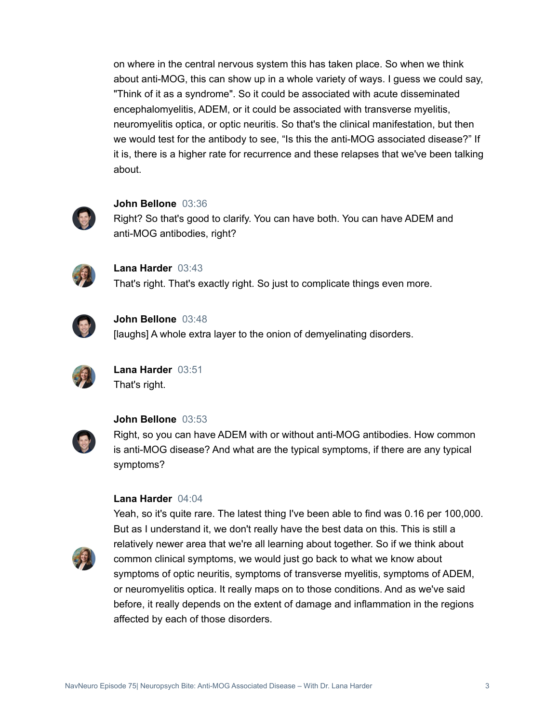on where in the central nervous system this has taken place. So when we think about anti-MOG, this can show up in a whole variety of ways. I guess we could say, "Think of it as a syndrome". So it could be associated with acute disseminated encephalomyelitis, ADEM, or it could be associated with transverse myelitis, neuromyelitis optica, or optic neuritis. So that's the clinical manifestation, but then we would test for the antibody to see, "Is this the anti-MOG associated disease?" If it is, there is a higher rate for recurrence and these relapses that we've been talking about.



#### **John Bellone** 03:36

Right? So that's good to clarify. You can have both. You can have ADEM and anti-MOG antibodies, right?



**Lana Harder** 03:43 That's right. That's exactly right. So just to complicate things even more.



**John Bellone** 03:48

[laughs] A whole extra layer to the onion of demyelinating disorders.



**Lana Harder** 03:51 That's right.



#### **John Bellone** 03:53

Right, so you can have ADEM with or without anti-MOG antibodies. How common is anti-MOG disease? And what are the typical symptoms, if there are any typical symptoms?

#### **Lana Harder** 04:04



Yeah, so it's quite rare. The latest thing I've been able to find was 0.16 per 100,000. But as I understand it, we don't really have the best data on this. This is still a relatively newer area that we're all learning about together. So if we think about common clinical symptoms, we would just go back to what we know about symptoms of optic neuritis, symptoms of transverse myelitis, symptoms of ADEM, or neuromyelitis optica. It really maps on to those conditions. And as we've said before, it really depends on the extent of damage and inflammation in the regions affected by each of those disorders.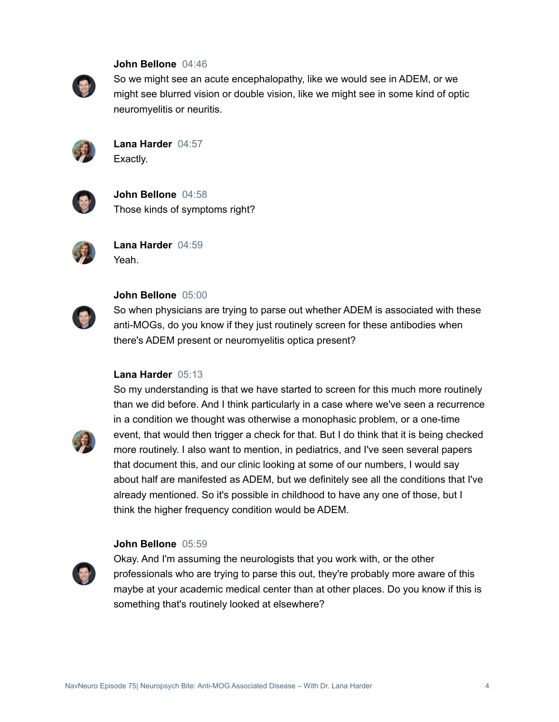#### **John Bellone** 04:46



So we might see an acute encephalopathy, like we would see in ADEM, or we might see blurred vision or double vision, like we might see in some kind of optic neuromyelitis or neuritis.



**Lana Harder** 04:57 Exactly.



**John Bellone** 04:58 Those kinds of symptoms right?



**Lana Harder** 04:59 Yeah.



## **John Bellone** 05:00

So when physicians are trying to parse out whether ADEM is associated with these anti-MOGs, do you know if they just routinely screen for these antibodies when there's ADEM present or neuromyelitis optica present?

#### **Lana Harder** 05:13



So my understanding is that we have started to screen for this much more routinely than we did before. And I think particularly in a case where we've seen a recurrence in a condition we thought was otherwise a monophasic problem, or a one-time event, that would then trigger a check for that. But I do think that it is being checked more routinely. I also want to mention, in pediatrics, and I've seen several papers that document this, and our clinic looking at some of our numbers, I would say about half are manifested as ADEM, but we definitely see all the conditions that I've already mentioned. So it's possible in childhood to have any one of those, but I think the higher frequency condition would be ADEM.

#### **John Bellone** 05:59



Okay. And I'm assuming the neurologists that you work with, or the other professionals who are trying to parse this out, they're probably more aware of this maybe at your academic medical center than at other places. Do you know if this is something that's routinely looked at elsewhere?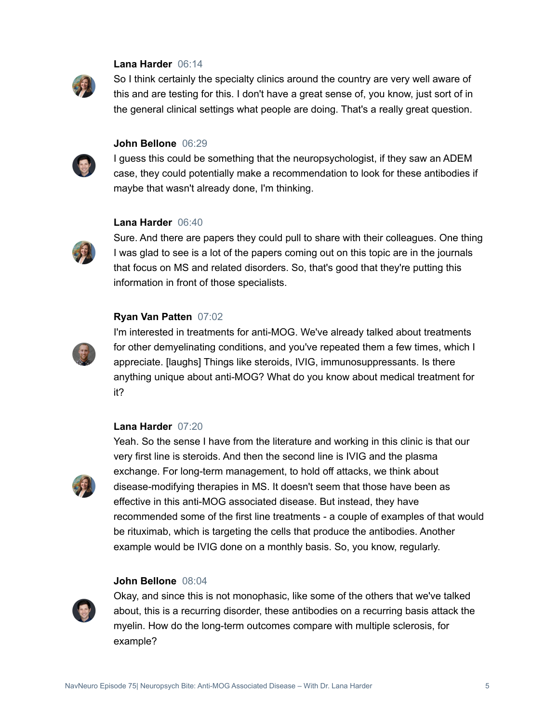## **Lana Harder** 06:14



So I think certainly the specialty clinics around the country are very well aware of this and are testing for this. I don't have a great sense of, you know, just sort of in the general clinical settings what people are doing. That's a really great question.



## **John Bellone** 06:29

I guess this could be something that the neuropsychologist, if they saw an ADEM case, they could potentially make a recommendation to look for these antibodies if maybe that wasn't already done, I'm thinking.

## **Lana Harder** 06:40



Sure. And there are papers they could pull to share with their colleagues. One thing I was glad to see is a lot of the papers coming out on this topic are in the journals that focus on MS and related disorders. So, that's good that they're putting this information in front of those specialists.

#### **Ryan Van Patten** 07:02



I'm interested in treatments for anti-MOG. We've already talked about treatments for other demyelinating conditions, and you've repeated them a few times, which I appreciate. [laughs] Things like steroids, IVIG, immunosuppressants. Is there anything unique about anti-MOG? What do you know about medical treatment for it?

## **Lana Harder** 07:20



Yeah. So the sense I have from the literature and working in this clinic is that our very first line is steroids. And then the second line is IVIG and the plasma exchange. For long-term management, to hold off attacks, we think about disease-modifying therapies in MS. It doesn't seem that those have been as effective in this anti-MOG associated disease. But instead, they have recommended some of the first line treatments - a couple of examples of that would be rituximab, which is targeting the cells that produce the antibodies. Another example would be IVIG done on a monthly basis. So, you know, regularly.

#### **John Bellone** 08:04



Okay, and since this is not monophasic, like some of the others that we've talked about, this is a recurring disorder, these antibodies on a recurring basis attack the myelin. How do the long-term outcomes compare with multiple sclerosis, for example?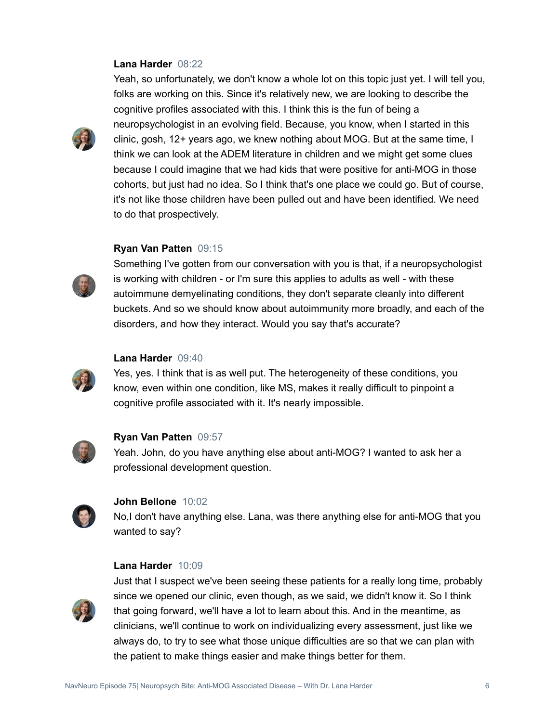## **Lana Harder** 08:22



Yeah, so unfortunately, we don't know a whole lot on this topic just yet. I will tell you, folks are working on this. Since it's relatively new, we are looking to describe the cognitive profiles associated with this. I think this is the fun of being a neuropsychologist in an evolving field. Because, you know, when I started in this clinic, gosh, 12+ years ago, we knew nothing about MOG. But at the same time, I think we can look at the ADEM literature in children and we might get some clues because I could imagine that we had kids that were positive for anti-MOG in those cohorts, but just had no idea. So I think that's one place we could go. But of course, it's not like those children have been pulled out and have been identified. We need to do that prospectively.

#### **Ryan Van Patten** 09:15



Something I've gotten from our conversation with you is that, if a neuropsychologist is working with children - or I'm sure this applies to adults as well - with these autoimmune demyelinating conditions, they don't separate cleanly into different buckets. And so we should know about autoimmunity more broadly, and each of the disorders, and how they interact. Would you say that's accurate?

## **Lana Harder** 09:40

Yes, yes. I think that is as well put. The heterogeneity of these conditions, you know, even within one condition, like MS, makes it really difficult to pinpoint a cognitive profile associated with it. It's nearly impossible.



## **Ryan Van Patten** 09:57

Yeah. John, do you have anything else about anti-MOG? I wanted to ask her a professional development question.



#### **John Bellone** 10:02

No,I don't have anything else. Lana, was there anything else for anti-MOG that you wanted to say?

#### **Lana Harder** 10:09



Just that I suspect we've been seeing these patients for a really long time, probably since we opened our clinic, even though, as we said, we didn't know it. So I think that going forward, we'll have a lot to learn about this. And in the meantime, as clinicians, we'll continue to work on individualizing every assessment, just like we always do, to try to see what those unique difficulties are so that we can plan with the patient to make things easier and make things better for them.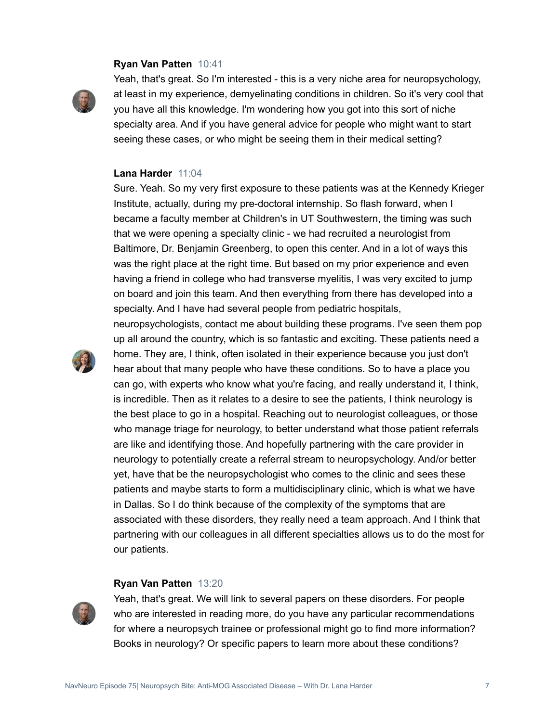#### **Ryan Van Patten** 10:41



Yeah, that's great. So I'm interested - this is a very niche area for neuropsychology, at least in my experience, demyelinating conditions in children. So it's very cool that you have all this knowledge. I'm wondering how you got into this sort of niche specialty area. And if you have general advice for people who might want to start seeing these cases, or who might be seeing them in their medical setting?

#### **Lana Harder** 11:04

Sure. Yeah. So my very first exposure to these patients was at the Kennedy Krieger Institute, actually, during my pre-doctoral internship. So flash forward, when I became a faculty member at Children's in UT Southwestern, the timing was such that we were opening a specialty clinic - we had recruited a neurologist from Baltimore, Dr. Benjamin Greenberg, to open this center. And in a lot of ways this was the right place at the right time. But based on my prior experience and even having a friend in college who had transverse myelitis, I was very excited to jump on board and join this team. And then everything from there has developed into a specialty. And I have had several people from pediatric hospitals,

neuropsychologists, contact me about building these programs. I've seen them pop



up all around the country, which is so fantastic and exciting. These patients need a home. They are, I think, often isolated in their experience because you just don't hear about that many people who have these conditions. So to have a place you can go, with experts who know what you're facing, and really understand it, I think, is incredible. Then as it relates to a desire to see the patients, I think neurology is the best place to go in a hospital. Reaching out to neurologist colleagues, or those who manage triage for neurology, to better understand what those patient referrals are like and identifying those. And hopefully partnering with the care provider in neurology to potentially create a referral stream to neuropsychology. And/or better yet, have that be the neuropsychologist who comes to the clinic and sees these patients and maybe starts to form a multidisciplinary clinic, which is what we have in Dallas. So I do think because of the complexity of the symptoms that are associated with these disorders, they really need a team approach. And I think that partnering with our colleagues in all different specialties allows us to do the most for our patients.

#### **Ryan Van Patten** 13:20



Yeah, that's great. We will link to several papers on these disorders. For people who are interested in reading more, do you have any particular recommendations for where a neuropsych trainee or professional might go to find more information? Books in neurology? Or specific papers to learn more about these conditions?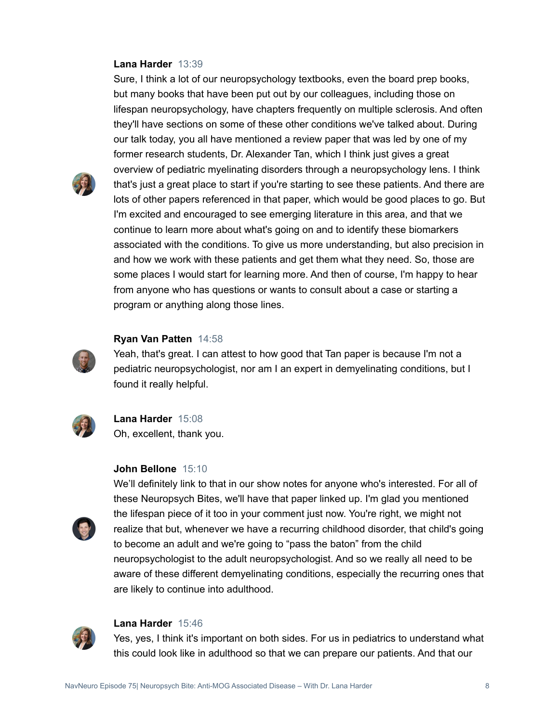## **Lana Harder** 13:39

but many books that have been put out by our colleagues, including those on lifespan neuropsychology, have chapters frequently on multiple sclerosis. And often they'll have sections on some of these other conditions we've talked about. During our talk today, you all have mentioned a review paper that was led by one of my former research students, Dr. Alexander Tan, which I think just gives a great overview of pediatric myelinating disorders through a neuropsychology lens. I think that's just a great place to start if you're starting to see these patients. And there are lots of other papers referenced in that paper, which would be good places to go. But I'm excited and encouraged to see emerging literature in this area, and that we continue to learn more about what's going on and to identify these biomarkers associated with the conditions. To give us more understanding, but also precision in and how we work with these patients and get them what they need. So, those are some places I would start for learning more. And then of course, I'm happy to hear from anyone who has questions or wants to consult about a case or starting a program or anything along those lines.

Sure, I think a lot of our neuropsychology textbooks, even the board prep books,



#### **Ryan Van Patten** 14:58

Yeah, that's great. I can attest to how good that Tan paper is because I'm not a pediatric neuropsychologist, nor am I an expert in demyelinating conditions, but I found it really helpful.



# **Lana Harder** 15:08 Oh, excellent, thank you.

#### **John Bellone** 15:10



We'll definitely link to that in our show notes for anyone who's interested. For all of these Neuropsych Bites, we'll have that paper linked up. I'm glad you mentioned the lifespan piece of it too in your comment just now. You're right, we might not realize that but, whenever we have a recurring childhood disorder, that child's going to become an adult and we're going to "pass the baton" from the child neuropsychologist to the adult neuropsychologist. And so we really all need to be aware of these different demyelinating conditions, especially the recurring ones that are likely to continue into adulthood.



#### **Lana Harder** 15:46

Yes, yes, I think it's important on both sides. For us in pediatrics to understand what this could look like in adulthood so that we can prepare our patients. And that our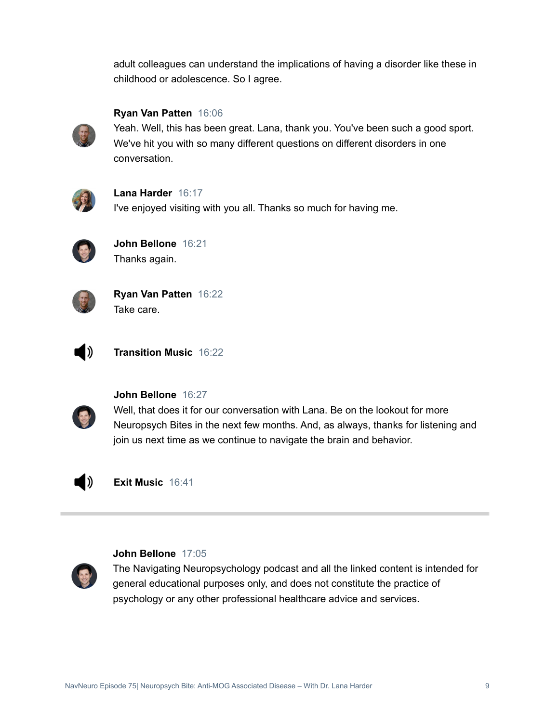adult colleagues can understand the implications of having a disorder like these in childhood or adolescence. So I agree.



# **Ryan Van Patten** 16:06

Yeah. Well, this has been great. Lana, thank you. You've been such a good sport. We've hit you with so many different questions on different disorders in one conversation.



# **Lana Harder** 16:17

I've enjoyed visiting with you all. Thanks so much for having me.



**John Bellone** 16:21 Thanks again.



**Ryan Van Patten** 16:22 Take care.



**Transition Music** 16:22



# **John Bellone** 16:27

Well, that does it for our conversation with Lana. Be on the lookout for more Neuropsych Bites in the next few months. And, as always, thanks for listening and join us next time as we continue to navigate the brain and behavior.



**Exit Music** 16:41



# **John Bellone** 17:05

The Navigating Neuropsychology podcast and all the linked content is intended for general educational purposes only, and does not constitute the practice of psychology or any other professional healthcare advice and services.